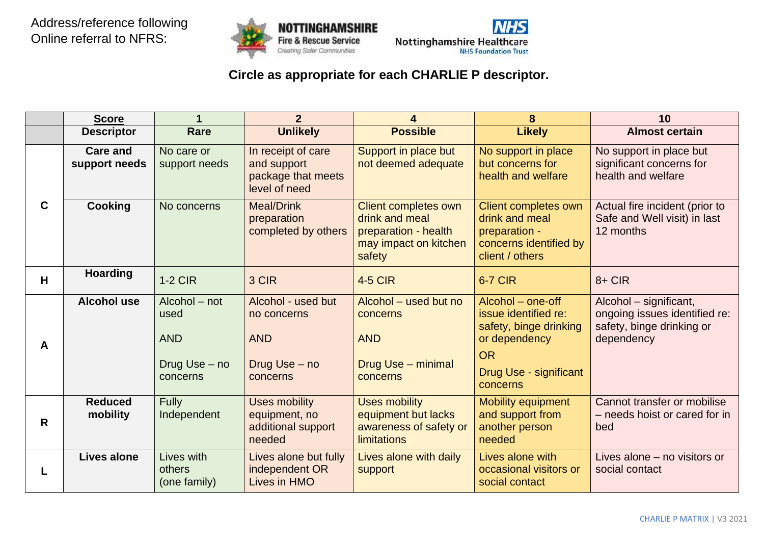



## **Circle as appropriate for each CHARLIE P descriptor.**

|             | <b>Score</b>                     |                                                                  | $\mathbf{2}$                                                                 | 4                                                                                                        | 8                                                                                                                                       | 10                                                                                                 |
|-------------|----------------------------------|------------------------------------------------------------------|------------------------------------------------------------------------------|----------------------------------------------------------------------------------------------------------|-----------------------------------------------------------------------------------------------------------------------------------------|----------------------------------------------------------------------------------------------------|
|             | <b>Descriptor</b>                | Rare                                                             | <b>Unlikely</b>                                                              | <b>Possible</b>                                                                                          | <b>Likely</b>                                                                                                                           | <b>Almost certain</b>                                                                              |
|             | <b>Care and</b><br>support needs | No care or<br>support needs                                      | In receipt of care<br>and support<br>package that meets<br>level of need     | Support in place but<br>not deemed adequate                                                              | No support in place<br>but concerns for<br>health and welfare                                                                           | No support in place but<br>significant concerns for<br>health and welfare                          |
| $\mathbf C$ | <b>Cooking</b>                   | No concerns                                                      | <b>Meal/Drink</b><br>preparation<br>completed by others                      | <b>Client completes own</b><br>drink and meal<br>preparation - health<br>may impact on kitchen<br>safety | Client completes own<br>drink and meal<br>preparation -<br>concerns identified by<br>client / others                                    | Actual fire incident (prior to<br>Safe and Well visit) in last<br>12 months                        |
| H.          | <b>Hoarding</b>                  | $1-2$ CIR                                                        | 3 CIR                                                                        | <b>4-5 CIR</b>                                                                                           | <b>6-7 CIR</b>                                                                                                                          | $8 + CIR$                                                                                          |
| A           | <b>Alcohol use</b>               | Alcohol - not<br>used<br><b>AND</b><br>Drug Use - no<br>concerns | Alcohol - used but<br>no concerns<br><b>AND</b><br>Drug Use - no<br>concerns | Alcohol - used but no<br>concerns<br><b>AND</b><br>Drug Use - minimal<br>concerns                        | Alcohol - one-off<br>issue identified re:<br>safety, binge drinking<br>or dependency<br><b>OR</b><br>Drug Use - significant<br>concerns | Alcohol – significant,<br>ongoing issues identified re:<br>safety, binge drinking or<br>dependency |
| R           | <b>Reduced</b><br>mobility       | <b>Fully</b><br>Independent                                      | <b>Uses mobility</b><br>equipment, no<br>additional support<br>needed        | <b>Uses mobility</b><br>equipment but lacks<br>awareness of safety or<br>limitations                     | Mobility equipment<br>and support from<br>another person<br>needed                                                                      | Cannot transfer or mobilise<br>- needs hoist or cared for in<br>bed                                |
|             | <b>Lives alone</b>               | Lives with<br>others<br>(one family)                             | Lives alone but fully<br>independent OR<br>Lives in HMO                      | Lives alone with daily<br>support                                                                        | Lives alone with<br>occasional visitors or<br>social contact                                                                            | Lives alone - no visitors or<br>social contact                                                     |